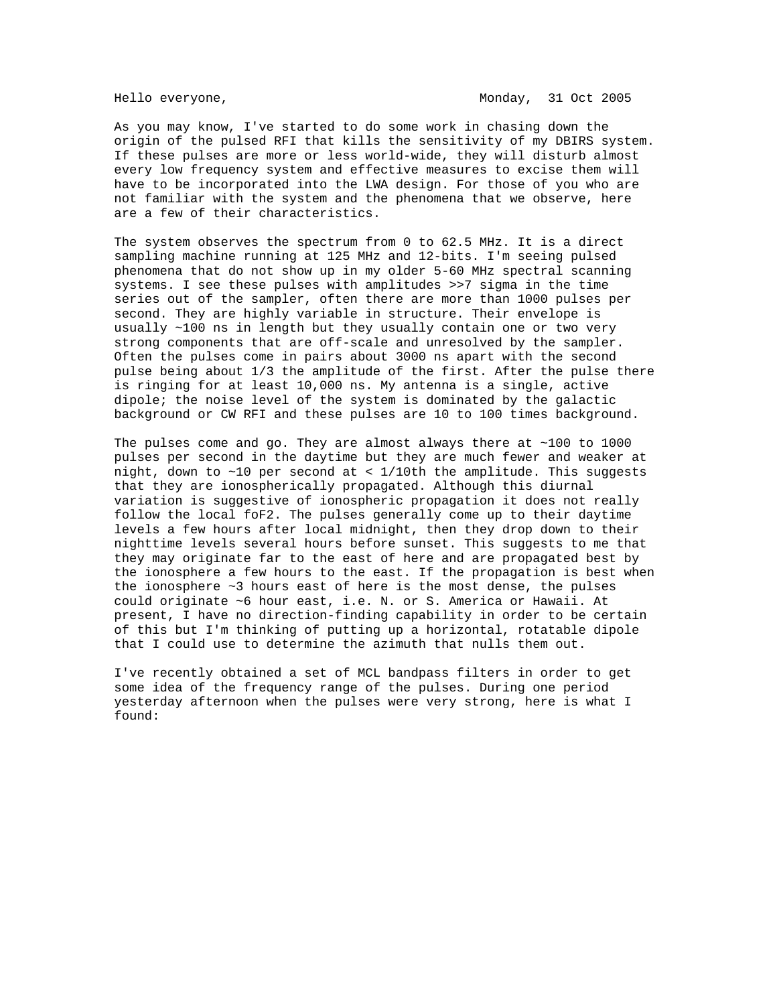As you may know, I've started to do some work in chasing down the origin of the pulsed RFI that kills the sensitivity of my DBIRS system. If these pulses are more or less world-wide, they will disturb almost every low frequency system and effective measures to excise them will have to be incorporated into the LWA design. For those of you who are not familiar with the system and the phenomena that we observe, here are a few of their characteristics.

The system observes the spectrum from 0 to 62.5 MHz. It is a direct sampling machine running at 125 MHz and 12-bits. I'm seeing pulsed phenomena that do not show up in my older 5-60 MHz spectral scanning systems. I see these pulses with amplitudes >>7 sigma in the time series out of the sampler, often there are more than 1000 pulses per second. They are highly variable in structure. Their envelope is usually ~100 ns in length but they usually contain one or two very strong components that are off-scale and unresolved by the sampler. Often the pulses come in pairs about 3000 ns apart with the second pulse being about 1/3 the amplitude of the first. After the pulse there is ringing for at least 10,000 ns. My antenna is a single, active dipole; the noise level of the system is dominated by the galactic background or CW RFI and these pulses are 10 to 100 times background.

The pulses come and go. They are almost always there at  $~1000$  to 1000 pulses per second in the daytime but they are much fewer and weaker at night, down to  $\sim$ 10 per second at < 1/10th the amplitude. This suggests that they are ionospherically propagated. Although this diurnal variation is suggestive of ionospheric propagation it does not really follow the local foF2. The pulses generally come up to their daytime levels a few hours after local midnight, then they drop down to their nighttime levels several hours before sunset. This suggests to me that they may originate far to the east of here and are propagated best by the ionosphere a few hours to the east. If the propagation is best when the ionosphere ~3 hours east of here is the most dense, the pulses could originate ~6 hour east, i.e. N. or S. America or Hawaii. At present, I have no direction-finding capability in order to be certain of this but I'm thinking of putting up a horizontal, rotatable dipole that I could use to determine the azimuth that nulls them out.

I've recently obtained a set of MCL bandpass filters in order to get some idea of the frequency range of the pulses. During one period yesterday afternoon when the pulses were very strong, here is what I found: